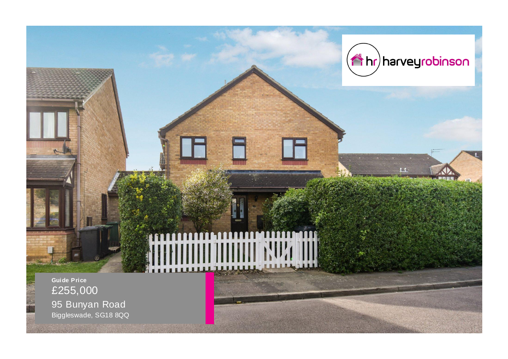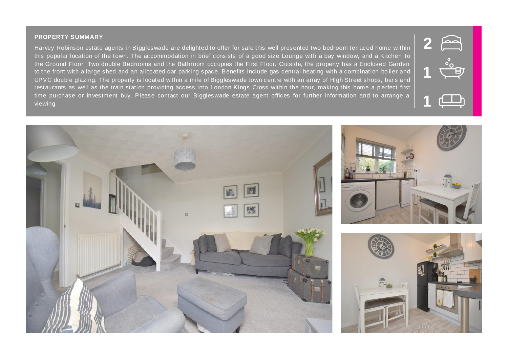## **PROPERTY SUMMARY**

Harvey Robinson estate agents in Biggleswade are delighted to offer for sale this well presented two bedroom terraced home wi thin this popular location of the town. The accommodation in brief consists of a good size Lounge with a bay window, and a Kitchen to the Ground Floor. Two double Bedrooms and the Bathroom occupies the First Floor. Outside, the property has a Enclosed Garden to the front with a large shed and an allocated car parking space. Benefits include gas central heating with a combination bo iler and UPVC double glazing. The property is located within a mile of Biggleswade town centre with an array of High Street shops, bar s and restaurants as well as the train station providing access into London Kings Cross within the hour, making this home a p erfect first time purchase or investment buy. Please contact our Biggleswade estate agent offices for further information and to arrange a viewing.



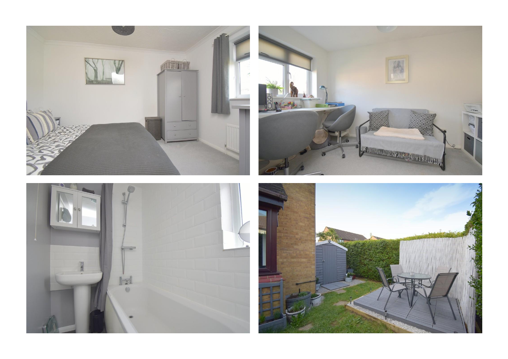